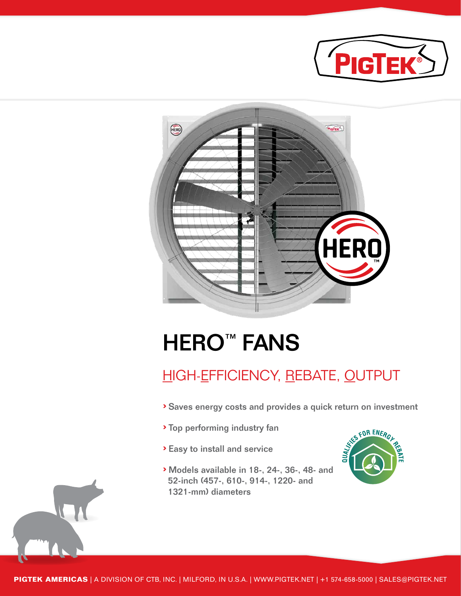



# **HERO™ FANS**

### HIGH-EFFICIENCY, REBATE, OUTPUT

- › Saves energy costs and provides a quick return on investment
- › Top performing industry fan
- › Easy to install and service
- › Models available in 18-, 24-, 36-, 48- and 52-inch (457-, 610-, 914-, 1220- and 1321-mm) diameters



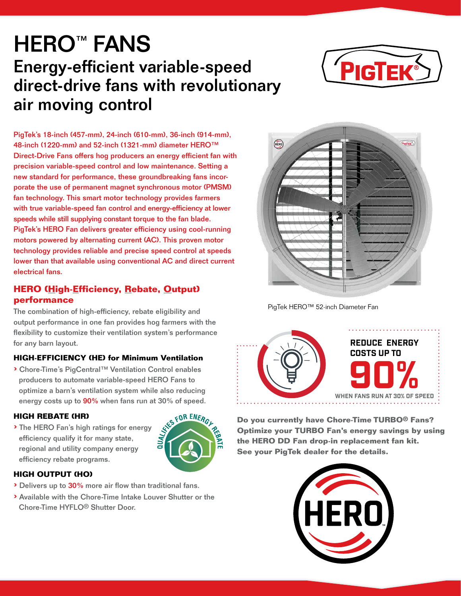### **HERO™ FANS** Energy-efficient variable-speed direct-drive fans with revolutionary air moving control



PigTek's 18-inch (457-mm), 24-inch (610-mm), 36-inch (914-mm), 48-inch (1220-mm) and 52-inch (1321-mm) diameter HERO™ Direct-Drive Fans offers hog producers an energy efficient fan with precision variable-speed control and low maintenance. Setting a new standard for performance, these groundbreaking fans incorporate the use of permanent magnet synchronous motor (PMSM) fan technology. This smart motor technology provides farmers with true variable-speed fan control and energy-efficiency at lower speeds while still supplying constant torque to the fan blade. PigTek's HERO Fan delivers greater efficiency using cool-running motors powered by alternating current (AC). This proven motor technology provides reliable and precise speed control at speeds lower than that available using conventional AC and direct current electrical fans.

#### **HERO (High-Efficiency, Rebate, Output) performance**

The combination of high-efficiency, rebate eligibility and output performance in one fan provides hog farmers with the flexibility to customize their ventilation system's performance for any barn layout.

#### **HIGH-EFFICIENCY (HE) for Minimum Ventilation**

› Chore-Time's PigCentral™ Ventilation Control enables producers to automate variable-speed HERO Fans to optimize a barn's ventilation system while also reducing energy costs up to 90% when fans run at 30% of speed.

#### **HIGH REBATE (HR)**

› The HERO Fan's high ratings for energy efficiency qualify it for many state, regional and utility company energy efficiency rebate programs.



#### **HIGH OUTPUT (HO)**

- › Delivers up to 30% more air flow than traditional fans.
- › Available with the Chore-Time Intake Louver Shutter or the Chore-Time HYFLO® Shutter Door.



PigTek HERO™ 52-inch Diameter Fan



**Do you currently have Chore-Time TURBO® Fans? Optimize your TURBO Fan's energy savings by using the HERO DD Fan drop-in replacement fan kit. See your PigTek dealer for the details.**

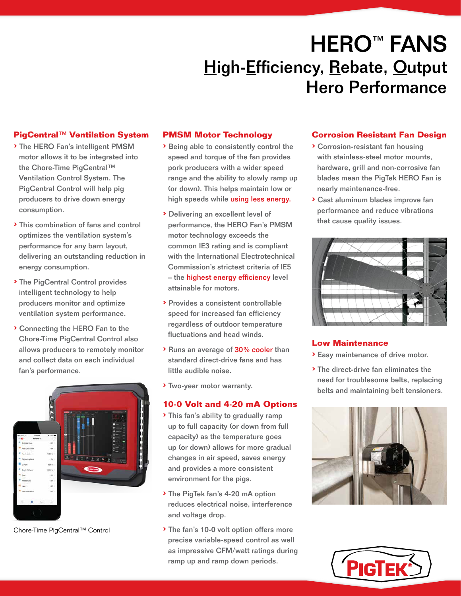# **HERO™ FANS High-Efficiency, Rebate, Output** Hero Performance

#### **PigCentral**™ **Ventilation System**

- › The HERO Fan's intelligent PMSM motor allows it to be integrated into the Chore-Time PigCentral™ Ventilation Control System. The PigCentral Control will help pig producers to drive down energy consumption.
- › This combination of fans and control optimizes the ventilation system's performance for any barn layout, delivering an outstanding reduction in energy consumption.
- › The PigCentral Control provides intelligent technology to help producers monitor and optimize ventilation system performance.
- › Connecting the HERO Fan to the Chore-Time PigCentral Control also allows producers to remotely monitor and collect data on each individual fan's performance.



Chore-Time PigCentral™ Control

#### **PMSM Motor Technology**

- › Being able to consistently control the speed and torque of the fan provides pork producers with a wider speed range and the ability to slowly ramp up (or down). This helps maintain low or high speeds while using less energy.
- › Delivering an excellent level of performance, the HERO Fan's PMSM motor technology exceeds the common IE3 rating and is compliant with the International Electrotechnical Commission's strictest criteria of IE5 – the highest energy efficiency level attainable for motors.
- › Provides a consistent controllable speed for increased fan efficiency regardless of outdoor temperature fluctuations and head winds.
- › Runs an average of 30% cooler than standard direct-drive fans and has little audible noise.
- › Two-year motor warranty.

#### **10-0 Volt and 4-20 mA Options**

- › This fan's ability to gradually ramp up to full capacity (or down from full capacity) as the temperature goes up (or down) allows for more gradual changes in air speed, saves energy and provides a more consistent environment for the pigs.
- › The PigTek fan's 4-20 mA option reduces electrical noise, interference and voltage drop.
- › The fan's 10-0 volt option offers more precise variable-speed control as well as impressive CFM/watt ratings during ramp up and ramp down periods.

#### **Corrosion Resistant Fan Design**

- › Corrosion-resistant fan housing with stainless-steel motor mounts, hardware, grill and non-corrosive fan blades mean the PigTek HERO Fan is nearly maintenance-free.
- › Cast aluminum blades improve fan performance and reduce vibrations that cause quality issues.



#### **Low Maintenance**

- › Easy maintenance of drive motor.
- › The direct-drive fan eliminates the need for troublesome belts, replacing belts and maintaining belt tensioners.